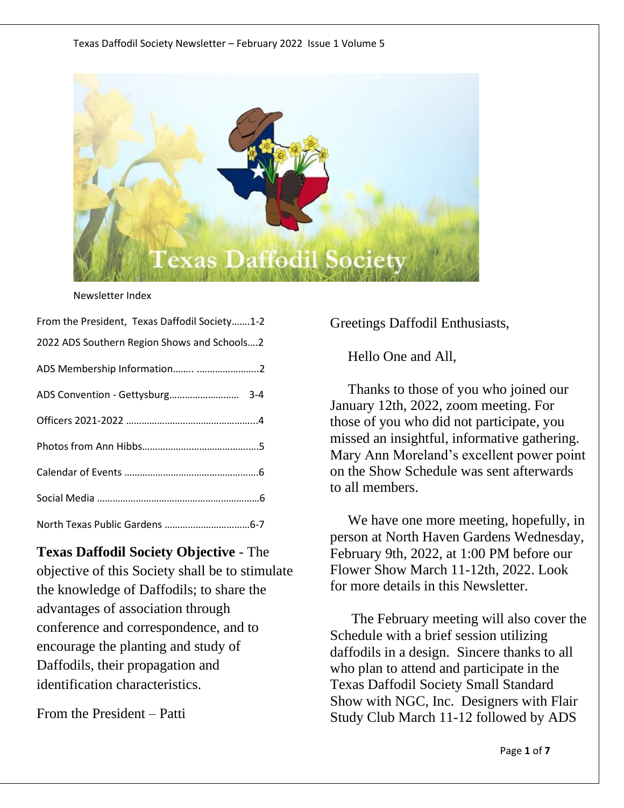

#### Newsletter Index

| From the President, Texas Daffodil Society1-2 |
|-----------------------------------------------|
| 2022 ADS Southern Region Shows and Schools2   |
| ADS Membership Information 2                  |
|                                               |
|                                               |
|                                               |
|                                               |
|                                               |
|                                               |

**Texas Daffodil Society Objective** - The objective of this Society shall be to stimulate the knowledge of Daffodils; to share the advantages of association through conference and correspondence, and to encourage the planting and study of Daffodils, their propagation and identification characteristics.

From the President – Patti

Greetings Daffodil Enthusiasts,

Hello One and All,

 Thanks to those of you who joined our January 12th, 2022, zoom meeting. For those of you who did not participate, you missed an insightful, informative gathering. Mary Ann Moreland's excellent power point on the Show Schedule was sent afterwards to all members.

 We have one more meeting, hopefully, in person at North Haven Gardens Wednesday, February 9th, 2022, at 1:00 PM before our Flower Show March 11-12th, 2022. Look for more details in this Newsletter.

 The February meeting will also cover the Schedule with a brief session utilizing daffodils in a design. Sincere thanks to all who plan to attend and participate in the Texas Daffodil Society Small Standard Show with NGC, Inc. Designers with Flair Study Club March 11-12 followed by ADS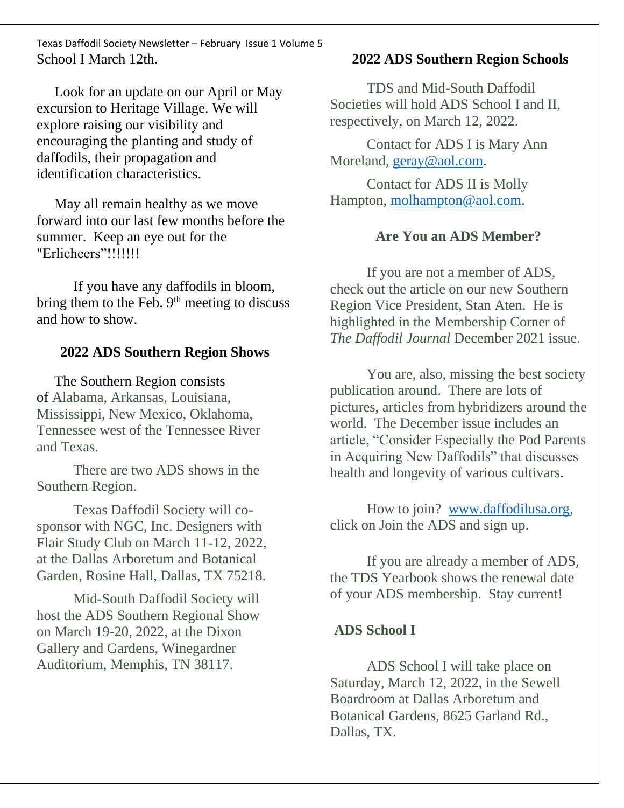Texas Daffodil Society Newsletter – February Issue 1 Volume 5 School I March 12th.

 Look for an update on our April or May excursion to Heritage Village. We will explore raising our visibility and encouraging the planting and study of daffodils, their propagation and identification characteristics.

 May all remain healthy as we move forward into our last few months before the summer. Keep an eye out for the "Erlicheers"!!!!!!!

If you have any daffodils in bloom, bring them to the Feb.  $9<sup>th</sup>$  meeting to discuss and how to show.

# **2022 ADS Southern Region Shows**

 The Southern Region consists of Alabama, Arkansas, Louisiana, Mississippi, New Mexico, Oklahoma, Tennessee west of the Tennessee River and Texas.

There are two ADS shows in the Southern Region.

Texas Daffodil Society will cosponsor with NGC, Inc. Designers with Flair Study Club on March 11-12, 2022, at the Dallas Arboretum and Botanical Garden, Rosine Hall, Dallas, TX 75218.

Mid-South Daffodil Society will host the ADS Southern Regional Show on March 19-20, 2022, at the Dixon Gallery and Gardens, Winegardner Auditorium, Memphis, TN 38117.

## **2022 ADS Southern Region Schools**

TDS and Mid-South Daffodil Societies will hold ADS School I and II, respectively, on March 12, 2022.

Contact for ADS I is Mary Ann Moreland, [geray@aol.com.](mailto:geray@aol.com)

Contact for ADS II is Molly Hampton, [molhampton@aol.com.](mailto:molhampton@aol.com)

## **Are You an ADS Member?**

If you are not a member of ADS, check out the article on our new Southern Region Vice President, Stan Aten. He is highlighted in the Membership Corner of *The Daffodil Journal* December 2021 issue.

You are, also, missing the best society publication around. There are lots of pictures, articles from hybridizers around the world. The December issue includes an article, "Consider Especially the Pod Parents in Acquiring New Daffodils" that discusses health and longevity of various cultivars.

How to join? [www.daffodilusa.org,](http://www.daffodilusa.org/) click on Join the ADS and sign up.

If you are already a member of ADS, the TDS Yearbook shows the renewal date of your ADS membership. Stay current!

## **ADS School I**

ADS School I will take place on Saturday, March 12, 2022, in the Sewell Boardroom at Dallas Arboretum and Botanical Gardens, 8625 Garland Rd., Dallas, TX.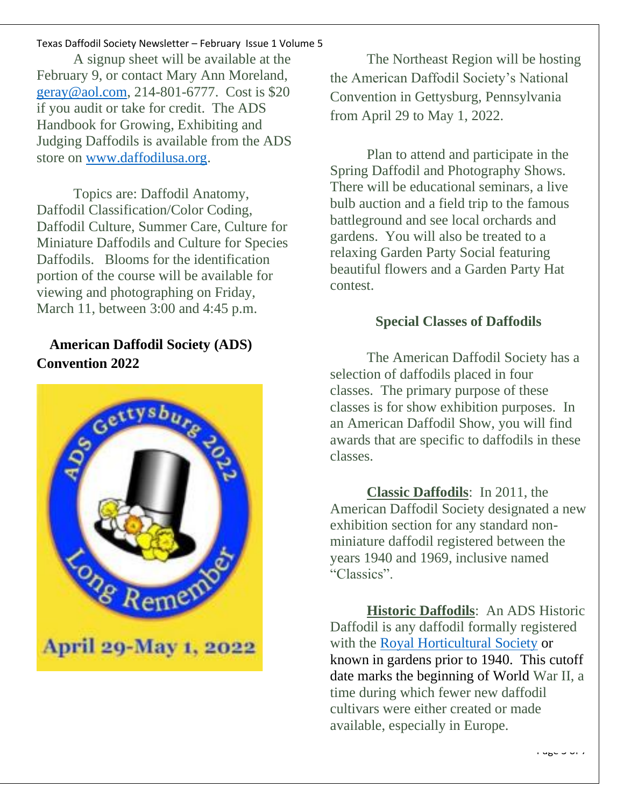### Texas Daffodil Society Newsletter – February Issue 1 Volume 5

A signup sheet will be available at the February 9, or contact Mary Ann Moreland, [geray@aol.com,](mailto:geray@aol.com) 214-801-6777. Cost is \$20 if you audit or take for credit. The ADS Handbook for Growing, Exhibiting and Judging Daffodils is available from the ADS store on [www.daffodilusa.org.](http://www.daffodilusa.org/)

Topics are: Daffodil Anatomy, Daffodil Classification/Color Coding, Daffodil Culture, Summer Care, Culture for Miniature Daffodils and Culture for Species Daffodils. Blooms for the identification portion of the course will be available for viewing and photographing on Friday, March 11, between 3:00 and 4:45 p.m.

# **American Daffodil Society (ADS) Convention 2022**



The Northeast Region will be hosting the American Daffodil Society's National Convention in Gettysburg, Pennsylvania from April 29 to May 1, 2022.

Plan to attend and participate in the Spring Daffodil and Photography Shows. There will be educational seminars, a live bulb auction and a field trip to the famous battleground and see local orchards and gardens. You will also be treated to a relaxing Garden Party Social featuring beautiful flowers and a Garden Party Hat contest.

## **Special Classes of Daffodils**

The American Daffodil Society has a selection of daffodils placed in four classes. The primary purpose of these classes is for show exhibition purposes. In an American Daffodil Show, you will find awards that are specific to daffodils in these classes.

**Classic Daffodils**: In 2011, the American Daffodil Society designated a new exhibition section for any standard nonminiature daffodil registered between the years 1940 and 1969, inclusive named "Classics".

**Historic Daffodils**: An ADS Historic Daffodil is any daffodil formally registered with the Royal [Horticultural](https://www.rhs.org.uk/) Society or known in gardens prior to 1940. This cutoff date marks the beginning of World War II, a time during which fewer new daffodil cultivars were either created or made available, especially in Europe.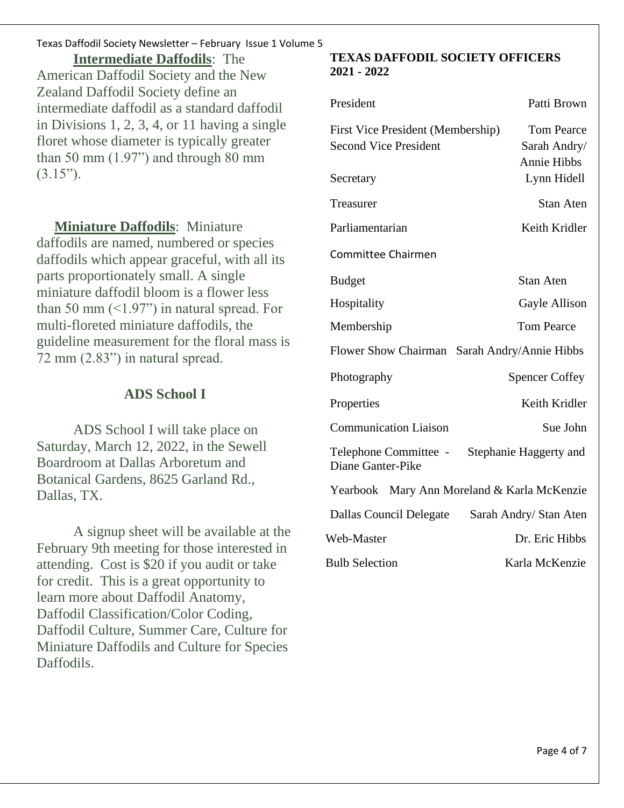#### Texas Daffodil Society Newsletter – February Issue 1 Volume 5

**Intermediate Daffodils**: The American Daffodil Society and the New Zealand Daffodil Society define an intermediate daffodil as a standard daffodil in Divisions 1, 2, 3, 4, or 11 having a single floret whose diameter is typically greater than 50 mm  $(1.97)$  and through 80 mm  $(3.15")$ .

 **Miniature Daffodils**: Miniature daffodils are named, numbered or species daffodils which appear graceful, with all its parts proportionately small. A single miniature daffodil bloom is a flower less than 50 mm  $\left($  <1.97") in natural spread. For multi-floreted miniature daffodils, the guideline measurement for the floral mass is 72 mm (2.83") in natural spread.

### **ADS School I**

ADS School I will take place on Saturday, March 12, 2022, in the Sewell Boardroom at Dallas Arboretum and Botanical Gardens, 8625 Garland Rd., Dallas, TX.

A signup sheet will be available at the February 9th meeting for those interested in attending. Cost is \$20 if you audit or take for credit. This is a great opportunity to learn more about Daffodil Anatomy, Daffodil Classification/Color Coding, Daffodil Culture, Summer Care, Culture for Miniature Daffodils and Culture for Species Daffodils.

### **TEXAS DAFFODIL SOCIETY OFFICERS 2021 - 2022**

| President                                                                      | Patti Brown                                                            |
|--------------------------------------------------------------------------------|------------------------------------------------------------------------|
| First Vice President (Membership)<br><b>Second Vice President</b><br>Secretary | <b>Tom Pearce</b><br>Sarah Andry/<br><b>Annie Hibbs</b><br>Lynn Hidell |
| Treasurer                                                                      | <b>Stan Aten</b>                                                       |
| Parliamentarian                                                                | Keith Kridler                                                          |
| <b>Committee Chairmen</b>                                                      |                                                                        |
| <b>Budget</b>                                                                  | <b>Stan Aten</b>                                                       |
| Hospitality                                                                    | Gayle Allison                                                          |
| Membership                                                                     | <b>Tom Pearce</b>                                                      |
| Flower Show Chairman Sarah Andry/Annie Hibbs                                   |                                                                        |
| Photography                                                                    | <b>Spencer Coffey</b>                                                  |
| Properties                                                                     | Keith Kridler                                                          |
| <b>Communication Liaison</b>                                                   | Sue John                                                               |
| Telephone Committee -<br>Diane Ganter-Pike                                     | Stephanie Haggerty and                                                 |
| Yearbook                                                                       | Mary Ann Moreland & Karla McKenzie                                     |
| Dallas Council Delegate                                                        | Sarah Andry/ Stan Aten                                                 |
| Web-Master                                                                     | Dr. Eric Hibbs                                                         |
| <b>Bulb Selection</b>                                                          | Karla McKenzie                                                         |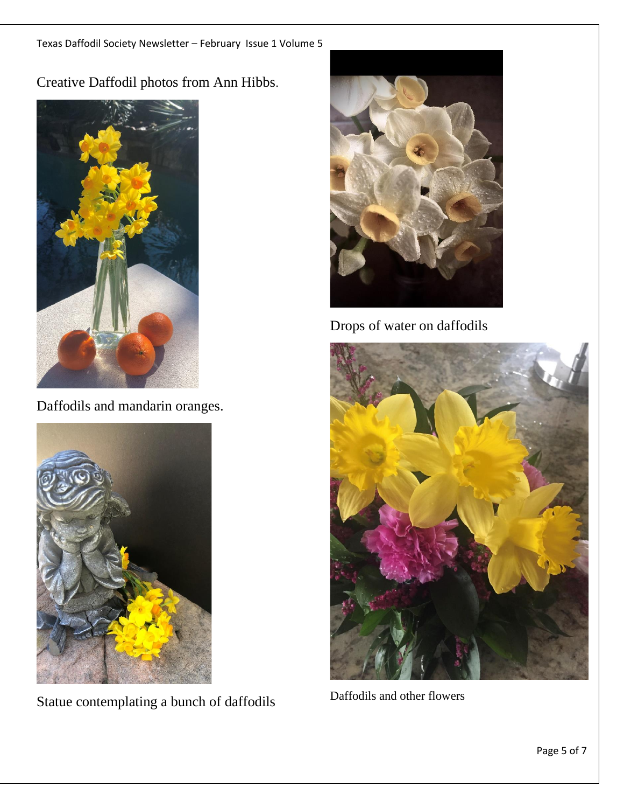Creative Daffodil photos from Ann Hibbs.



Daffodils and mandarin oranges.



Statue contemplating a bunch of daffodils



Drops of water on daffodils



Daffodils and other flowers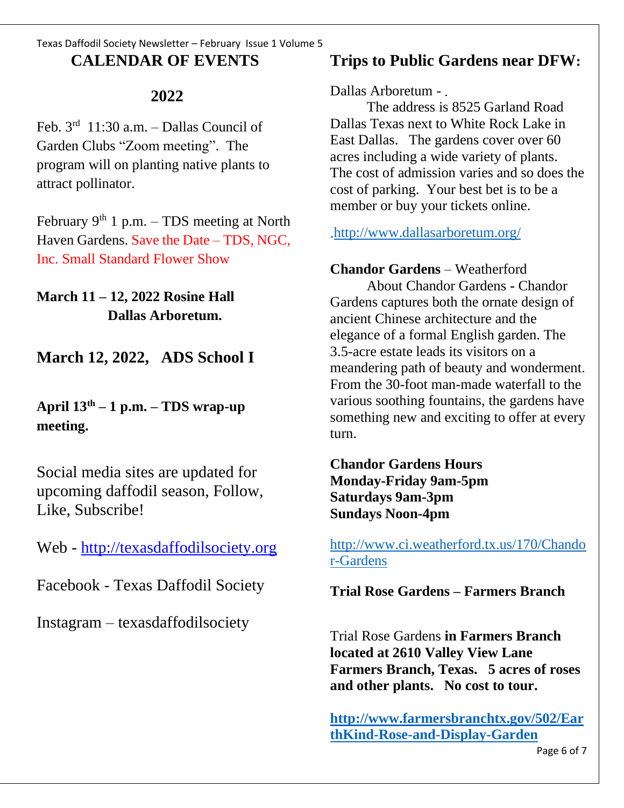### Texas Daffodil Society Newsletter – February Issue 1 Volume 5 **CALENDAR OF EVENTS**

# **2022**

Feb.  $3<sup>rd</sup>$  11:30 a.m. – Dallas Council of Garden Clubs "Zoom meeting". The program will on planting native plants to attract pollinator.

February  $9<sup>th</sup> 1 p.m. - TDS meeting at North$ Haven Gardens. Save the Date – TDS, NGC, Inc. Small Standard Flower Show

**March 11 – 12, 2022 Rosine Hall Dallas Arboretum.**

**March 12, 2022, ADS School I**

**April 13th – 1 p.m. – TDS wrap-up meeting.** 

Social media sites are updated for upcoming daffodil season, Follow, Like, Subscribe!

Web - [http://texasdaffodilsociety.org](about:blank)

Facebook - Texas Daffodil Society

Instagram – texasdaffodilsociety

# **Trips to Public Gardens near DFW:**

Dallas Arboretum -

The address is 8525 Garland Road Dallas Texas next to White Rock Lake in East Dallas. The gardens cover over 60 acres including a wide variety of plants. The cost of admission varies and so does the cost of parking. Your best bet is to be a member or buy your tickets online.

[http://www.dallasarboretum.org/](about:blank)

**Chandor Gardens** – Weatherford

About Chandor Gardens **-** Chandor Gardens captures both the ornate design of ancient Chinese architecture and the elegance of a formal English garden. The 3.5-acre estate leads its visitors on a meandering path of beauty and wonderment. From the 30-foot man-made waterfall to the various soothing fountains, the gardens have something new and exciting to offer at every turn.

**Chandor Gardens Hours Monday-Friday 9am-5pm Saturdays 9am-3pm Sundays Noon-4pm**

[http://www.ci.weatherford.tx.us/170/Chando](about:blank) [r-Gardens](about:blank)

**Trial Rose Gardens – Farmers Branch**

Trial Rose Gardens **in Farmers Branch located at 2610 Valley View Lane Farmers Branch, Texas. 5 acres of roses and other plants. No cost to tour.**

**[http://www.farmersbranchtx.gov/502/Ear](about:blank) [thKind-Rose-and-Display-Garden](about:blank)**